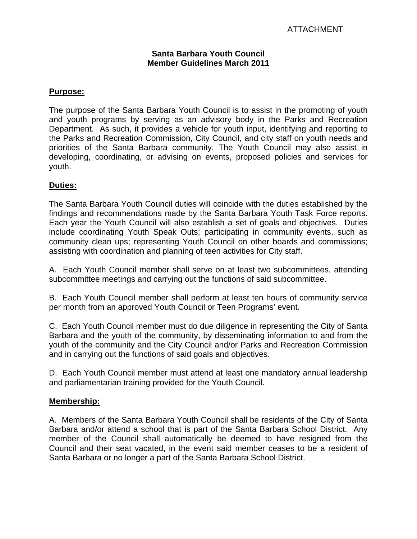#### **Santa Barbara Youth Council Member Guidelines March 2011**

### **Purpose:**

The purpose of the Santa Barbara Youth Council is to assist in the promoting of youth and youth programs by serving as an advisory body in the Parks and Recreation Department. As such, it provides a vehicle for youth input, identifying and reporting to the Parks and Recreation Commission, City Council, and city staff on youth needs and priorities of the Santa Barbara community. The Youth Council may also assist in developing, coordinating, or advising on events, proposed policies and services for youth.

### **Duties:**

The Santa Barbara Youth Council duties will coincide with the duties established by the findings and recommendations made by the Santa Barbara Youth Task Force reports. Each year the Youth Council will also establish a set of goals and objectives. Duties include coordinating Youth Speak Outs; participating in community events, such as community clean ups; representing Youth Council on other boards and commissions; assisting with coordination and planning of teen activities for City staff.

A. Each Youth Council member shall serve on at least two subcommittees, attending subcommittee meetings and carrying out the functions of said subcommittee.

B. Each Youth Council member shall perform at least ten hours of community service per month from an approved Youth Council or Teen Programs' event.

C. Each Youth Council member must do due diligence in representing the City of Santa Barbara and the youth of the community, by disseminating information to and from the youth of the community and the City Council and/or Parks and Recreation Commission and in carrying out the functions of said goals and objectives.

D. Each Youth Council member must attend at least one mandatory annual leadership and parliamentarian training provided for the Youth Council.

### **Membership:**

A. Members of the Santa Barbara Youth Council shall be residents of the City of Santa Barbara and/or attend a school that is part of the Santa Barbara School District. Any member of the Council shall automatically be deemed to have resigned from the Council and their seat vacated, in the event said member ceases to be a resident of Santa Barbara or no longer a part of the Santa Barbara School District.